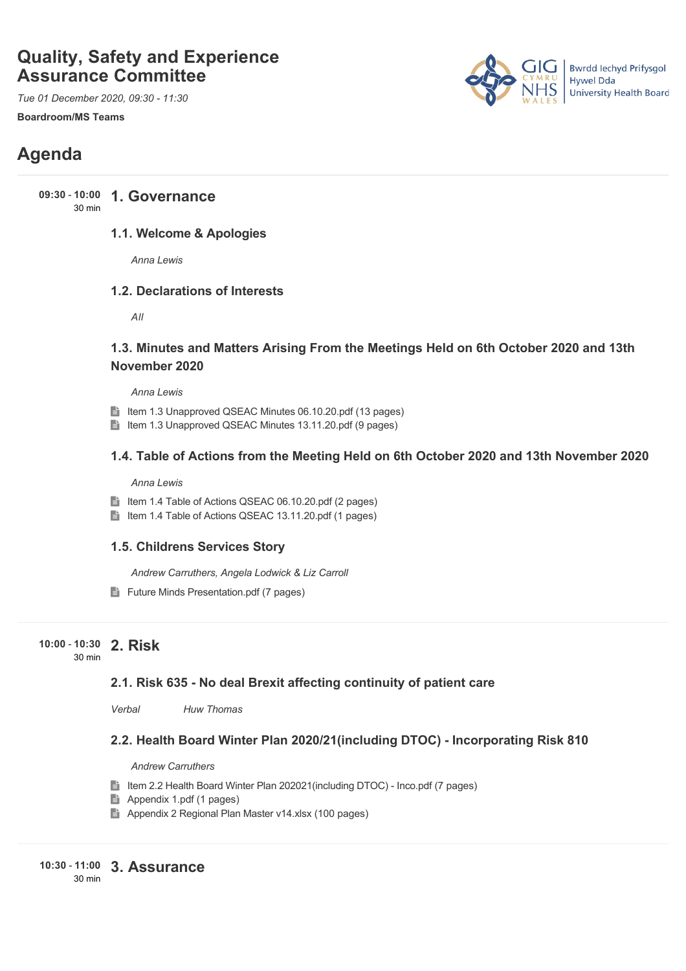# **Quality, Safety and Experience Assurance Committee**

*Tue 01 December 2020, 09:30 - 11:30*

**Boardroom/MS Teams**



# **Agenda**

**1. Governance 09:30** - **10:00** 30 min

#### **1.1. Welcome & Apologies**

*Anna Lewis*

#### **1.2. Declarations of Interests**

*All*

## **1.3. Minutes and Matters Arising From the Meetings Held on 6th October 2020 and 13th November 2020**

*Anna Lewis*

- Item 1.3 Unapproved QSEAC Minutes 06.10.20.pdf (13 pages)
- Item 1.3 Unapproved QSEAC Minutes 13.11.20.pdf (9 pages)

#### **1.4. Table of Actions from the Meeting Held on 6th October 2020 and 13th November 2020**

*Anna Lewis*

- Item 1.4 Table of Actions QSEAC 06.10.20.pdf (2 pages)
- Item 1.4 Table of Actions QSEAC 13.11.20.pdf (1 pages)

#### **1.5. Childrens Services Story**

*Andrew Carruthers, Angela Lodwick & Liz Carroll*

Future Minds Presentation.pdf (7 pages)

#### **2. Risk 10:00** - **10:30** 30 min

### **2.1. Risk 635 - No deal Brexit affecting continuity of patient care**

*Verbal Huw Thomas*

### **2.2. Health Board Winter Plan 2020/21(including DTOC) - Incorporating Risk 810**

*Andrew Carruthers*

- Item 2.2 Health Board Winter Plan 202021(including DTOC) Inco.pdf (7 pages)
- Appendix 1.pdf (1 pages)
- Appendix 2 Regional Plan Master v14.xlsx (100 pages)

**3. Assurance 10:30** - **11:00** 30 min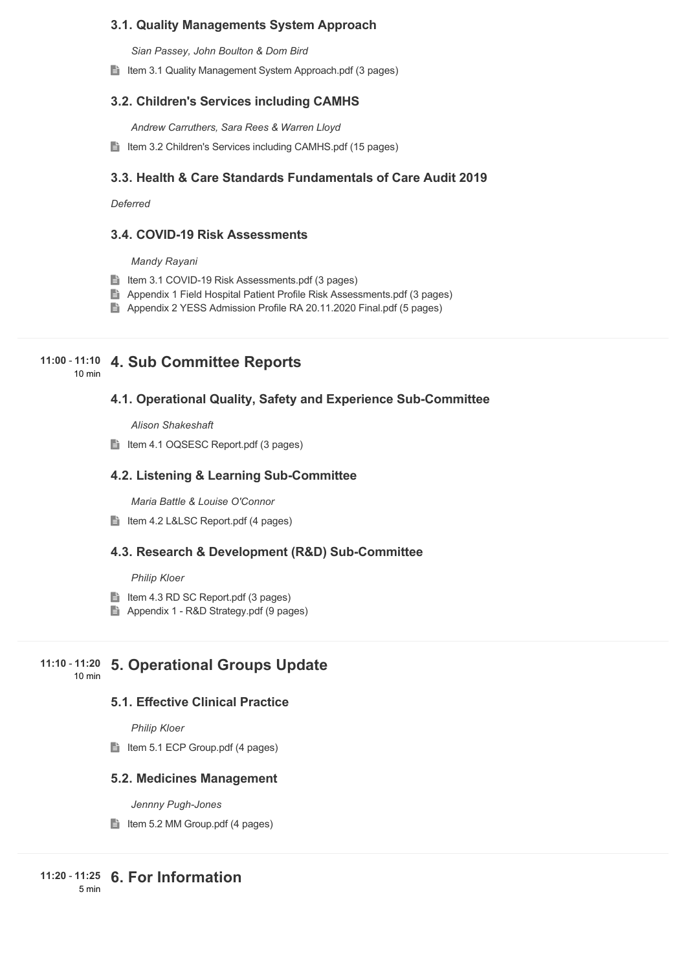#### **3.1. Quality Managements System Approach**

*Sian Passey, John Boulton & Dom Bird*

■ Item 3.1 Quality Management System Approach.pdf (3 pages)

#### **3.2. Children's Services including CAMHS**

*Andrew Carruthers, Sara Rees & Warren Lloyd*

Item 3.2 Children's Services including CAMHS.pdf (15 pages)

#### **3.3. Health & Care Standards Fundamentals of Care Audit 2019**

*Deferred* 

#### **3.4. COVID-19 Risk Assessments**

*Mandy Rayani*

- Item 3.1 COVID-19 Risk Assessments.pdf (3 pages)
- **Appendix 1 Field Hospital Patient Profile Risk Assessments.pdf (3 pages)**
- Appendix 2 YESS Admission Profile RA 20.11.2020 Final.pdf (5 pages)

# **4. Sub Committee Reports 11:00** - **11:10**

10 min

#### **4.1. Operational Quality, Safety and Experience Sub-Committee**

*Alison Shakeshaft*

Item 4.1 OQSESC Report.pdf (3 pages)

#### **4.2. Listening & Learning Sub-Committee**

*Maria Battle & Louise O'Connor*

Item 4.2 L&LSC Report.pdf (4 pages)

#### **4.3. Research & Development (R&D) Sub-Committee**

#### *Philip Kloer*

- Item 4.3 RD SC Report.pdf  $(3 \text{ pages})$
- Appendix 1 R&D Strategy.pdf (9 pages)

#### **5. Operational Groups Update 11:10** - **11:20**

10 min

# **5.1. Effective Clinical Practice**

*Philip Kloer*

 $\Box$  Item 5.1 ECP Group.pdf (4 pages)

#### **5.2. Medicines Management**

*Jennny Pugh-Jones*

 $\blacksquare$  Item 5.2 MM Group.pdf (4 pages)

5 min